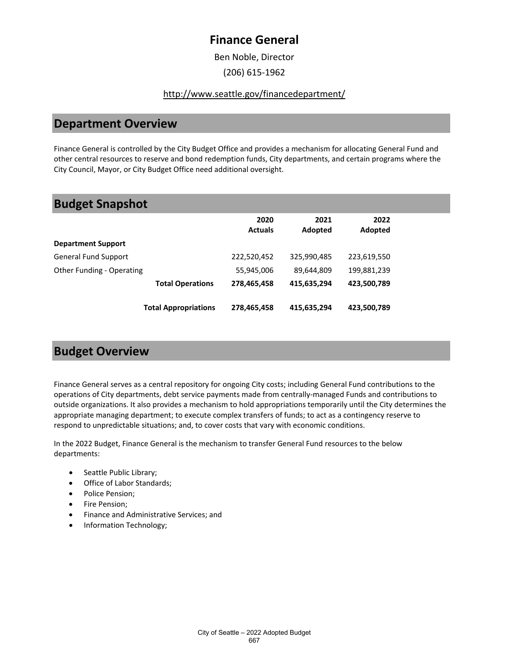Ben Noble, Director (206) 615-1962

<http://www.seattle.gov/financedepartment/>

### **Department Overview**

Finance General is controlled by the City Budget Office and provides a mechanism for allocating General Fund and other central resources to reserve and bond redemption funds, City departments, and certain programs where the City Council, Mayor, or City Budget Office need additional oversight.

### **Budget Snapshot**

|                             |                             | 2020<br><b>Actuals</b> | 2021<br>Adopted | 2022<br>Adopted |  |
|-----------------------------|-----------------------------|------------------------|-----------------|-----------------|--|
| <b>Department Support</b>   |                             |                        |                 |                 |  |
| <b>General Fund Support</b> |                             | 222,520,452            | 325,990,485     | 223,619,550     |  |
| Other Funding - Operating   |                             | 55,945,006             | 89,644,809      | 199,881,239     |  |
|                             | <b>Total Operations</b>     | 278,465,458            | 415,635,294     | 423,500,789     |  |
|                             | <b>Total Appropriations</b> | 278,465,458            | 415,635,294     | 423,500,789     |  |

### **Budget Overview**

Finance General serves as a central repository for ongoing City costs; including General Fund contributions to the operations of City departments, debt service payments made from centrally-managed Funds and contributions to outside organizations. It also provides a mechanism to hold appropriations temporarily until the City determines the appropriate managing department; to execute complex transfers of funds; to act as a contingency reserve to respond to unpredictable situations; and, to cover costs that vary with economic conditions.

In the 2022 Budget, Finance General is the mechanism to transfer General Fund resources to the below departments:

- Seattle Public Library;
- Office of Labor Standards;
- Police Pension;
- Fire Pension;
- Finance and Administrative Services; and
- Information Technology;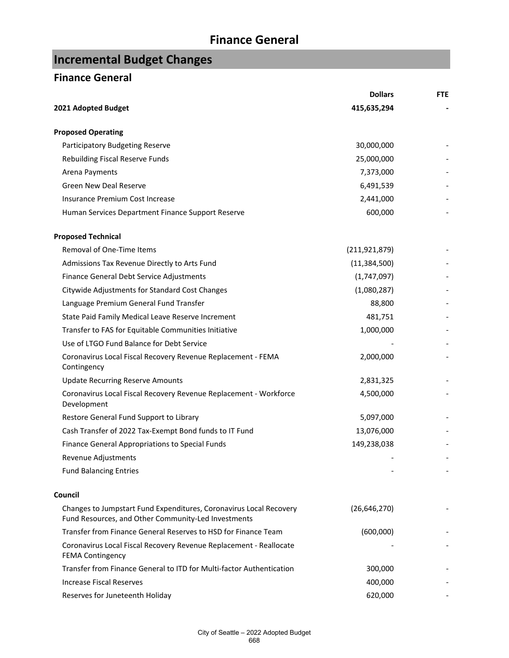# **Incremental Budget Changes**

|                                                                                                                           | <b>Dollars</b>  | <b>FTE</b> |
|---------------------------------------------------------------------------------------------------------------------------|-----------------|------------|
| 2021 Adopted Budget                                                                                                       | 415,635,294     |            |
| <b>Proposed Operating</b>                                                                                                 |                 |            |
| Participatory Budgeting Reserve                                                                                           | 30,000,000      |            |
| Rebuilding Fiscal Reserve Funds                                                                                           | 25,000,000      |            |
| Arena Payments                                                                                                            | 7,373,000       |            |
| Green New Deal Reserve                                                                                                    | 6,491,539       |            |
| Insurance Premium Cost Increase                                                                                           | 2,441,000       |            |
| Human Services Department Finance Support Reserve                                                                         | 600,000         |            |
| <b>Proposed Technical</b>                                                                                                 |                 |            |
| <b>Removal of One-Time Items</b>                                                                                          | (211, 921, 879) |            |
| Admissions Tax Revenue Directly to Arts Fund                                                                              | (11, 384, 500)  |            |
| Finance General Debt Service Adjustments                                                                                  | (1,747,097)     |            |
| Citywide Adjustments for Standard Cost Changes                                                                            | (1,080,287)     |            |
| Language Premium General Fund Transfer                                                                                    | 88,800          |            |
| State Paid Family Medical Leave Reserve Increment                                                                         | 481,751         |            |
| Transfer to FAS for Equitable Communities Initiative                                                                      | 1,000,000       |            |
| Use of LTGO Fund Balance for Debt Service                                                                                 |                 |            |
| Coronavirus Local Fiscal Recovery Revenue Replacement - FEMA<br>Contingency                                               | 2,000,000       |            |
| <b>Update Recurring Reserve Amounts</b>                                                                                   | 2,831,325       |            |
| Coronavirus Local Fiscal Recovery Revenue Replacement - Workforce<br>Development                                          | 4,500,000       |            |
| Restore General Fund Support to Library                                                                                   | 5,097,000       |            |
| Cash Transfer of 2022 Tax-Exempt Bond funds to IT Fund                                                                    | 13,076,000      |            |
| Finance General Appropriations to Special Funds                                                                           | 149,238,038     |            |
| Revenue Adjustments                                                                                                       |                 |            |
| <b>Fund Balancing Entries</b>                                                                                             |                 |            |
| Council                                                                                                                   |                 |            |
| Changes to Jumpstart Fund Expenditures, Coronavirus Local Recovery<br>Fund Resources, and Other Community-Led Investments | (26, 646, 270)  |            |
| Transfer from Finance General Reserves to HSD for Finance Team                                                            | (600,000)       |            |
| Coronavirus Local Fiscal Recovery Revenue Replacement - Reallocate<br><b>FEMA Contingency</b>                             |                 |            |
| Transfer from Finance General to ITD for Multi-factor Authentication                                                      | 300,000         |            |
| <b>Increase Fiscal Reserves</b>                                                                                           | 400,000         |            |
| Reserves for Juneteenth Holiday                                                                                           | 620,000         |            |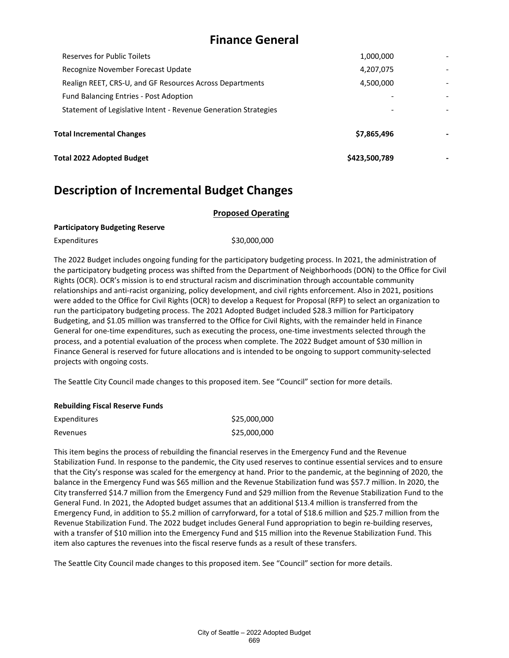| Total 2022 Adopted Budget                                       | \$423,500,789 |   |
|-----------------------------------------------------------------|---------------|---|
| <b>Total Incremental Changes</b>                                | \$7,865,496   |   |
| Statement of Legislative Intent - Revenue Generation Strategies |               |   |
| <b>Fund Balancing Entries - Post Adoption</b>                   |               |   |
| Realign REET, CRS-U, and GF Resources Across Departments        | 4,500,000     |   |
| Recognize November Forecast Update                              | 4,207,075     | ٠ |
| <b>Reserves for Public Toilets</b>                              | 1,000,000     |   |
|                                                                 |               |   |

# **Description of Incremental Budget Changes**

#### **Proposed Operating**

#### **Participatory Budgeting Reserve**

Expenditures \$30,000,000

The 2022 Budget includes ongoing funding for the participatory budgeting process. In 2021, the administration of the participatory budgeting process was shifted from the Department of Neighborhoods (DON) to the Office for Civil Rights (OCR). OCR's mission is to end structural racism and discrimination through accountable community relationships and anti-racist organizing, policy development, and civil rights enforcement. Also in 2021, positions were added to the Office for Civil Rights (OCR) to develop a Request for Proposal (RFP) to select an organization to run the participatory budgeting process. The 2021 Adopted Budget included \$28.3 million for Participatory Budgeting, and \$1.05 million was transferred to the Office for Civil Rights, with the remainder held in Finance General for one-time expenditures, such as executing the process, one-time investments selected through the process, and a potential evaluation of the process when complete. The 2022 Budget amount of \$30 million in Finance General is reserved for future allocations and is intended to be ongoing to support community-selected projects with ongoing costs.

The Seattle City Council made changes to this proposed item. See "Council" section for more details.

#### **Rebuilding Fiscal Reserve Funds**

| Expenditures | \$25,000,000 |
|--------------|--------------|
| Revenues     | \$25,000,000 |

This item begins the process of rebuilding the financial reserves in the Emergency Fund and the Revenue Stabilization Fund. In response to the pandemic, the City used reserves to continue essential services and to ensure that the City's response was scaled for the emergency at hand. Prior to the pandemic, at the beginning of 2020, the balance in the Emergency Fund was \$65 million and the Revenue Stabilization fund was \$57.7 million. In 2020, the City transferred \$14.7 million from the Emergency Fund and \$29 million from the Revenue Stabilization Fund to the General Fund. In 2021, the Adopted budget assumes that an additional \$13.4 million is transferred from the Emergency Fund, in addition to \$5.2 million of carryforward, for a total of \$18.6 million and \$25.7 million from the Revenue Stabilization Fund. The 2022 budget includes General Fund appropriation to begin re-building reserves, with a transfer of \$10 million into the Emergency Fund and \$15 million into the Revenue Stabilization Fund. This item also captures the revenues into the fiscal reserve funds as a result of these transfers.

The Seattle City Council made changes to this proposed item. See "Council" section for more details.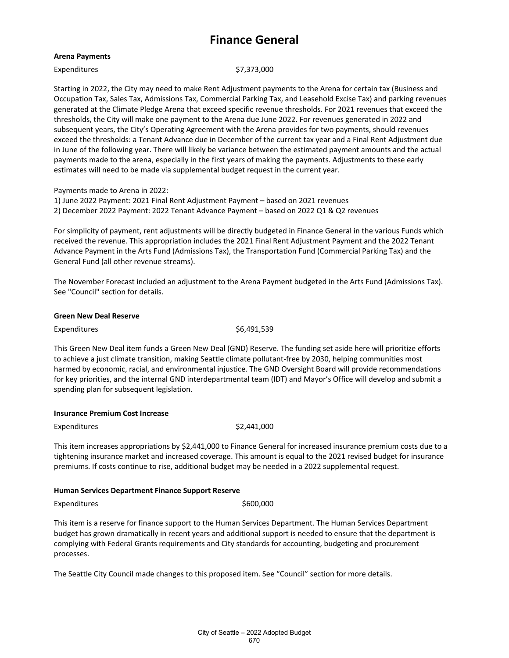#### **Arena Payments**

Expenditures \$7,373,000

Starting in 2022, the City may need to make Rent Adjustment payments to the Arena for certain tax (Business and Occupation Tax, Sales Tax, Admissions Tax, Commercial Parking Tax, and Leasehold Excise Tax) and parking revenues generated at the Climate Pledge Arena that exceed specific revenue thresholds. For 2021 revenues that exceed the thresholds, the City will make one payment to the Arena due June 2022. For revenues generated in 2022 and subsequent years, the City's Operating Agreement with the Arena provides for two payments, should revenues exceed the thresholds: a Tenant Advance due in December of the current tax year and a Final Rent Adjustment due in June of the following year. There will likely be variance between the estimated payment amounts and the actual payments made to the arena, especially in the first years of making the payments. Adjustments to these early estimates will need to be made via supplemental budget request in the current year.

Payments made to Arena in 2022:

1) June 2022 Payment: 2021 Final Rent Adjustment Payment – based on 2021 revenues 2) December 2022 Payment: 2022 Tenant Advance Payment – based on 2022 Q1 & Q2 revenues

For simplicity of payment, rent adjustments will be directly budgeted in Finance General in the various Funds which received the revenue. This appropriation includes the 2021 Final Rent Adjustment Payment and the 2022 Tenant Advance Payment in the Arts Fund (Admissions Tax), the Transportation Fund (Commercial Parking Tax) and the General Fund (all other revenue streams).

The November Forecast included an adjustment to the Arena Payment budgeted in the Arts Fund (Admissions Tax). See "Council" section for details.

#### **Green New Deal Reserve**

Expenditures \$6,491,539

This Green New Deal item funds a Green New Deal (GND) Reserve. The funding set aside here will prioritize efforts to achieve a just climate transition, making Seattle climate pollutant-free by 2030, helping communities most harmed by economic, racial, and environmental injustice. The GND Oversight Board will provide recommendations for key priorities, and the internal GND interdepartmental team (IDT) and Mayor's Office will develop and submit a spending plan for subsequent legislation.

#### **Insurance Premium Cost Increase**

 $Expenditures$   $$2,441,000$ 

This item increases appropriations by \$2,441,000 to Finance General for increased insurance premium costs due to a tightening insurance market and increased coverage. This amount is equal to the 2021 revised budget for insurance premiums. If costs continue to rise, additional budget may be needed in a 2022 supplemental request.

#### **Human Services Department Finance Support Reserve**

Expenditures \$600,000

This item is a reserve for finance support to the Human Services Department. The Human Services Department budget has grown dramatically in recent years and additional support is needed to ensure that the department is complying with Federal Grants requirements and City standards for accounting, budgeting and procurement processes.

The Seattle City Council made changes to this proposed item. See "Council" section for more details.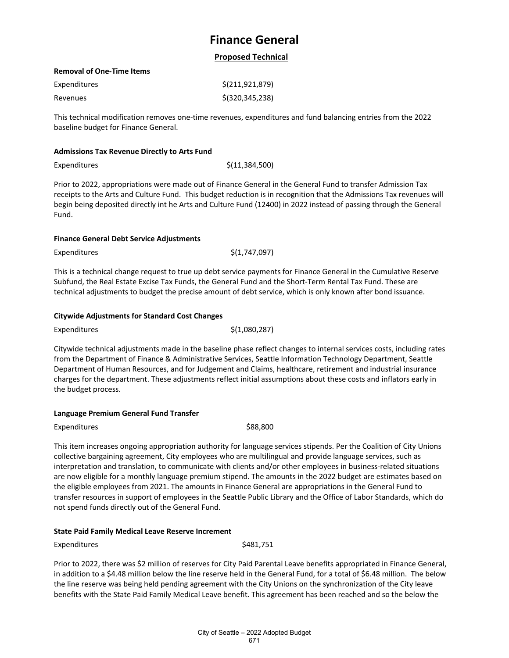#### **Proposed Technical**

#### **Removal of One-Time Items**

| Expenditures | \$(211,921,879)   |
|--------------|-------------------|
| Revenues     | $$$ (320,345,238) |

This technical modification removes one-time revenues, expenditures and fund balancing entries from the 2022 baseline budget for Finance General.

#### **Admissions Tax Revenue Directly to Arts Fund**

Expenditures  $\zeta(11,384,500)$ 

Prior to 2022, appropriations were made out of Finance General in the General Fund to transfer Admission Tax receipts to the Arts and Culture Fund. This budget reduction is in recognition that the Admissions Tax revenues will begin being deposited directly int he Arts and Culture Fund (12400) in 2022 instead of passing through the General Fund.

#### **Finance General Debt Service Adjustments**

Expenditures  $\zeta(1,747,097)$ 

This is a technical change request to true up debt service payments for Finance General in the Cumulative Reserve Subfund, the Real Estate Excise Tax Funds, the General Fund and the Short-Term Rental Tax Fund. These are technical adjustments to budget the precise amount of debt service, which is only known after bond issuance.

#### **Citywide Adjustments for Standard Cost Changes**

Expenditures  $\zeta(1,080,287)$ 

Citywide technical adjustments made in the baseline phase reflect changes to internal services costs, including rates from the Department of Finance & Administrative Services, Seattle Information Technology Department, Seattle Department of Human Resources, and for Judgement and Claims, healthcare, retirement and industrial insurance charges for the department. These adjustments reflect initial assumptions about these costs and inflators early in the budget process.

#### **Language Premium General Fund Transfer**

Expenditures \$88,800

This item increases ongoing appropriation authority for language services stipends. Per the Coalition of City Unions collective bargaining agreement, City employees who are multilingual and provide language services, such as interpretation and translation, to communicate with clients and/or other employees in business-related situations are now eligible for a monthly language premium stipend. The amounts in the 2022 budget are estimates based on the eligible employees from 2021. The amounts in Finance General are appropriations in the General Fund to transfer resources in support of employees in the Seattle Public Library and the Office of Labor Standards, which do not spend funds directly out of the General Fund.

#### **State Paid Family Medical Leave Reserve Increment**

Expenditures \$481,751

Prior to 2022, there was \$2 million of reserves for City Paid Parental Leave benefits appropriated in Finance General, in addition to a \$4.48 million below the line reserve held in the General Fund, for a total of \$6.48 million. The below the line reserve was being held pending agreement with the City Unions on the synchronization of the City leave benefits with the State Paid Family Medical Leave benefit. This agreement has been reached and so the below the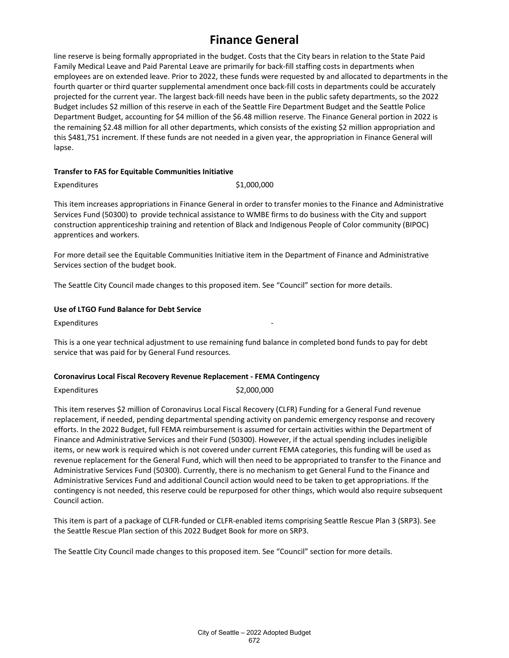line reserve is being formally appropriated in the budget. Costs that the City bears in relation to the State Paid Family Medical Leave and Paid Parental Leave are primarily for back-fill staffing costs in departments when employees are on extended leave. Prior to 2022, these funds were requested by and allocated to departments in the fourth quarter or third quarter supplemental amendment once back-fill costs in departments could be accurately projected for the current year. The largest back-fill needs have been in the public safety departments, so the 2022 Budget includes \$2 million of this reserve in each of the Seattle Fire Department Budget and the Seattle Police Department Budget, accounting for \$4 million of the \$6.48 million reserve. The Finance General portion in 2022 is the remaining \$2.48 million for all other departments, which consists of the existing \$2 million appropriation and this \$481,751 increment. If these funds are not needed in a given year, the appropriation in Finance General will lapse.

#### **Transfer to FAS for Equitable Communities Initiative**

Expenditures \$1,000,000

This item increases appropriations in Finance General in order to transfer monies to the Finance and Administrative Services Fund (50300) to provide technical assistance to WMBE firms to do business with the City and support construction apprenticeship training and retention of Black and Indigenous People of Color community (BIPOC) apprentices and workers.

For more detail see the Equitable Communities Initiative item in the Department of Finance and Administrative Services section of the budget book.

The Seattle City Council made changes to this proposed item. See "Council" section for more details.

#### **Use of LTGO Fund Balance for Debt Service**

**Expenditures** 

This is a one year technical adjustment to use remaining fund balance in completed bond funds to pay for debt service that was paid for by General Fund resources.

#### **Coronavirus Local Fiscal Recovery Revenue Replacement - FEMA Contingency**

Expenditures \$2,000,000

This item reserves \$2 million of Coronavirus Local Fiscal Recovery (CLFR) Funding for a General Fund revenue replacement, if needed, pending departmental spending activity on pandemic emergency response and recovery efforts. In the 2022 Budget, full FEMA reimbursement is assumed for certain activities within the Department of Finance and Administrative Services and their Fund (50300). However, if the actual spending includes ineligible items, or new work is required which is not covered under current FEMA categories, this funding will be used as revenue replacement for the General Fund, which will then need to be appropriated to transfer to the Finance and Administrative Services Fund (50300). Currently, there is no mechanism to get General Fund to the Finance and Administrative Services Fund and additional Council action would need to be taken to get appropriations. If the contingency is not needed, this reserve could be repurposed for other things, which would also require subsequent Council action.

This item is part of a package of CLFR-funded or CLFR-enabled items comprising Seattle Rescue Plan 3 (SRP3). See the Seattle Rescue Plan section of this 2022 Budget Book for more on SRP3.

The Seattle City Council made changes to this proposed item. See "Council" section for more details.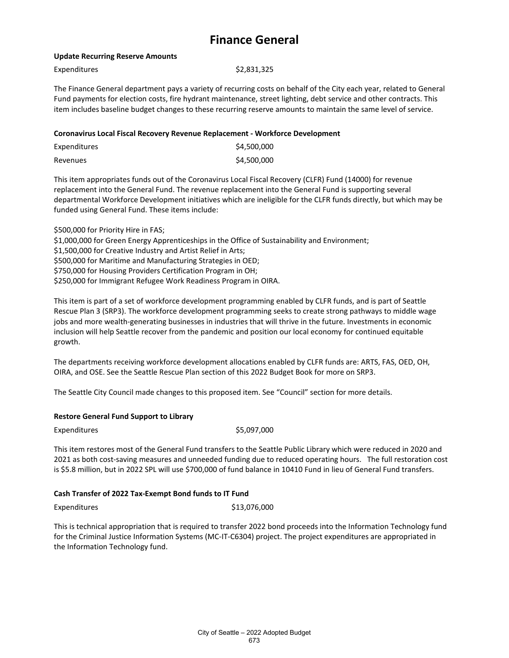#### **Update Recurring Reserve Amounts**

| Expenditures | \$2,831,325 |
|--------------|-------------|
|--------------|-------------|

The Finance General department pays a variety of recurring costs on behalf of the City each year, related to General Fund payments for election costs, fire hydrant maintenance, street lighting, debt service and other contracts. This item includes baseline budget changes to these recurring reserve amounts to maintain the same level of service.

#### **Coronavirus Local Fiscal Recovery Revenue Replacement - Workforce Development**

| Expenditures | \$4,500,000 |
|--------------|-------------|
| Revenues     | \$4,500,000 |

This item appropriates funds out of the Coronavirus Local Fiscal Recovery (CLFR) Fund (14000) for revenue replacement into the General Fund. The revenue replacement into the General Fund is supporting several departmental Workforce Development initiatives which are ineligible for the CLFR funds directly, but which may be funded using General Fund. These items include:

\$500,000 for Priority Hire in FAS; \$1,000,000 for Green Energy Apprenticeships in the Office of Sustainability and Environment; \$1,500,000 for Creative Industry and Artist Relief in Arts; \$500,000 for Maritime and Manufacturing Strategies in OED; \$750,000 for Housing Providers Certification Program in OH; \$250,000 for Immigrant Refugee Work Readiness Program in OIRA.

This item is part of a set of workforce development programming enabled by CLFR funds, and is part of Seattle Rescue Plan 3 (SRP3). The workforce development programming seeks to create strong pathways to middle wage jobs and more wealth-generating businesses in industries that will thrive in the future. Investments in economic inclusion will help Seattle recover from the pandemic and position our local economy for continued equitable growth.

The departments receiving workforce development allocations enabled by CLFR funds are: ARTS, FAS, OED, OH, OIRA, and OSE. See the Seattle Rescue Plan section of this 2022 Budget Book for more on SRP3.

The Seattle City Council made changes to this proposed item. See "Council" section for more details.

#### **Restore General Fund Support to Library**

Expenditures \$5,097,000

This item restores most of the General Fund transfers to the Seattle Public Library which were reduced in 2020 and 2021 as both cost-saving measures and unneeded funding due to reduced operating hours. The full restoration cost is \$5.8 million, but in 2022 SPL will use \$700,000 of fund balance in 10410 Fund in lieu of General Fund transfers.

#### **Cash Transfer of 2022 Tax-Exempt Bond funds to IT Fund**

Expenditures \$13,076,000

This is technical appropriation that is required to transfer 2022 bond proceeds into the Information Technology fund for the Criminal Justice Information Systems (MC-IT-C6304) project. The project expenditures are appropriated in the Information Technology fund.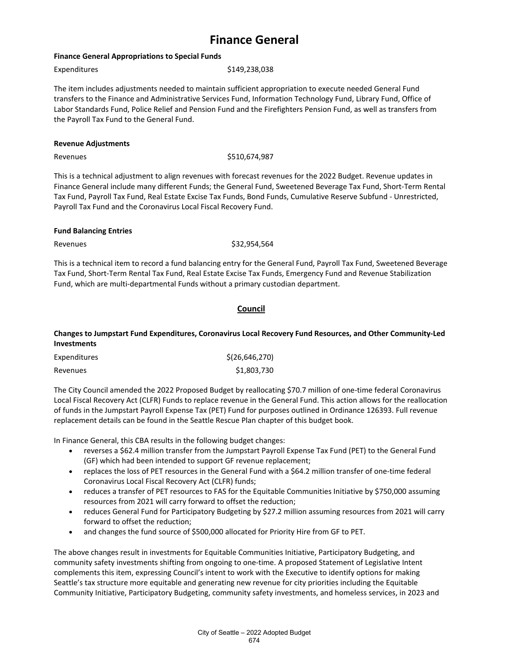#### **Finance General Appropriations to Special Funds**

Expenditures \$149,238,038

The item includes adjustments needed to maintain sufficient appropriation to execute needed General Fund transfers to the Finance and Administrative Services Fund, Information Technology Fund, Library Fund, Office of Labor Standards Fund, Police Relief and Pension Fund and the Firefighters Pension Fund, as well as transfers from the Payroll Tax Fund to the General Fund.

#### **Revenue Adjustments**

Revenues \$510,674,987

This is a technical adjustment to align revenues with forecast revenues for the 2022 Budget. Revenue updates in Finance General include many different Funds; the General Fund, Sweetened Beverage Tax Fund, Short-Term Rental Tax Fund, Payroll Tax Fund, Real Estate Excise Tax Funds, Bond Funds, Cumulative Reserve Subfund - Unrestricted, Payroll Tax Fund and the Coronavirus Local Fiscal Recovery Fund.

#### **Fund Balancing Entries**

Revenues \$32,954,564

This is a technical item to record a fund balancing entry for the General Fund, Payroll Tax Fund, Sweetened Beverage Tax Fund, Short-Term Rental Tax Fund, Real Estate Excise Tax Funds, Emergency Fund and Revenue Stabilization Fund, which are multi-departmental Funds without a primary custodian department.

#### **Council**

#### **Changes to Jumpstart Fund Expenditures, Coronavirus Local Recovery Fund Resources, and Other Community-Led Investments**

| Expenditures | \$(26, 646, 270) |
|--------------|------------------|
| Revenues     | \$1,803,730      |

The City Council amended the 2022 Proposed Budget by reallocating \$70.7 million of one-time federal Coronavirus Local Fiscal Recovery Act (CLFR) Funds to replace revenue in the General Fund. This action allows for the reallocation of funds in the Jumpstart Payroll Expense Tax (PET) Fund for purposes outlined in Ordinance 126393. Full revenue replacement details can be found in the Seattle Rescue Plan chapter of this budget book.

In Finance General, this CBA results in the following budget changes:

- reverses a \$62.4 million transfer from the Jumpstart Payroll Expense Tax Fund (PET) to the General Fund (GF) which had been intended to support GF revenue replacement;
- replaces the loss of PET resources in the General Fund with a \$64.2 million transfer of one-time federal Coronavirus Local Fiscal Recovery Act (CLFR) funds;
- reduces a transfer of PET resources to FAS for the Equitable Communities Initiative by \$750,000 assuming resources from 2021 will carry forward to offset the reduction;
- reduces General Fund for Participatory Budgeting by \$27.2 million assuming resources from 2021 will carry forward to offset the reduction;
- and changes the fund source of \$500,000 allocated for Priority Hire from GF to PET.

The above changes result in investments for Equitable Communities Initiative, Participatory Budgeting, and community safety investments shifting from ongoing to one-time. A proposed Statement of Legislative Intent complements this item, expressing Council's intent to work with the Executive to identify options for making Seattle's tax structure more equitable and generating new revenue for city priorities including the Equitable Community Initiative, Participatory Budgeting, community safety investments, and homeless services, in 2023 and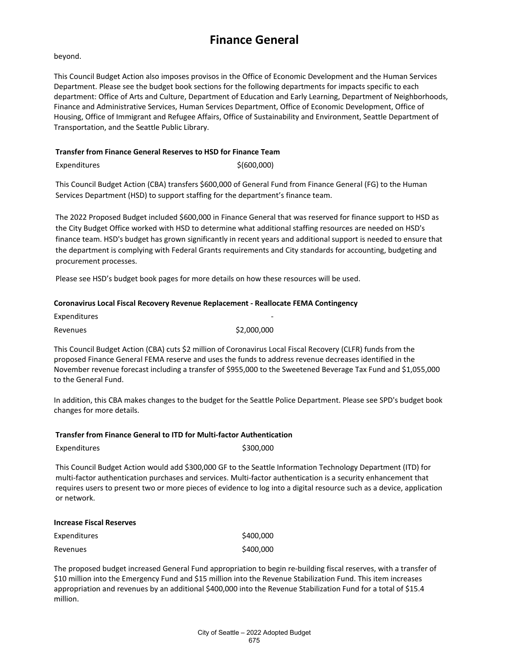beyond.

This Council Budget Action also imposes provisos in the Office of Economic Development and the Human Services Department. Please see the budget book sections for the following departments for impacts specific to each department: Office of Arts and Culture, Department of Education and Early Learning, Department of Neighborhoods, Finance and Administrative Services, Human Services Department, Office of Economic Development, Office of Housing, Office of Immigrant and Refugee Affairs, Office of Sustainability and Environment, Seattle Department of Transportation, and the Seattle Public Library.

#### **Transfer from Finance General Reserves to HSD for Finance Team**

Expenditures \$(600,000)

This Council Budget Action (CBA) transfers \$600,000 of General Fund from Finance General (FG) to the Human Services Department (HSD) to support staffing for the department's finance team.

The 2022 Proposed Budget included \$600,000 in Finance General that was reserved for finance support to HSD as the City Budget Office worked with HSD to determine what additional staffing resources are needed on HSD's finance team. HSD's budget has grown significantly in recent years and additional support is needed to ensure that the department is complying with Federal Grants requirements and City standards for accounting, budgeting and procurement processes.

Please see HSD's budget book pages for more details on how these resources will be used.

#### **Coronavirus Local Fiscal Recovery Revenue Replacement - Reallocate FEMA Contingency**

| Expenditures | -           |
|--------------|-------------|
| Revenues     | \$2,000,000 |

This Council Budget Action (CBA) cuts \$2 million of Coronavirus Local Fiscal Recovery (CLFR) funds from the proposed Finance General FEMA reserve and uses the funds to address revenue decreases identified in the November revenue forecast including a transfer of \$955,000 to the Sweetened Beverage Tax Fund and \$1,055,000 to the General Fund.

In addition, this CBA makes changes to the budget for the Seattle Police Department. Please see SPD's budget book changes for more details.

#### **Transfer from Finance General to ITD for Multi-factor Authentication**

Expenditures \$300,000

This Council Budget Action would add \$300,000 GF to the Seattle Information Technology Department (ITD) for multi-factor authentication purchases and services. Multi-factor authentication is a security enhancement that requires users to present two or more pieces of evidence to log into a digital resource such as a device, application or network.

#### **Increase Fiscal Reserves**

| Expenditures | \$400,000 |
|--------------|-----------|
| Revenues     | \$400,000 |

The proposed budget increased General Fund appropriation to begin re-building fiscal reserves, with a transfer of \$10 million into the Emergency Fund and \$15 million into the Revenue Stabilization Fund. This item increases appropriation and revenues by an additional \$400,000 into the Revenue Stabilization Fund for a total of \$15.4 million.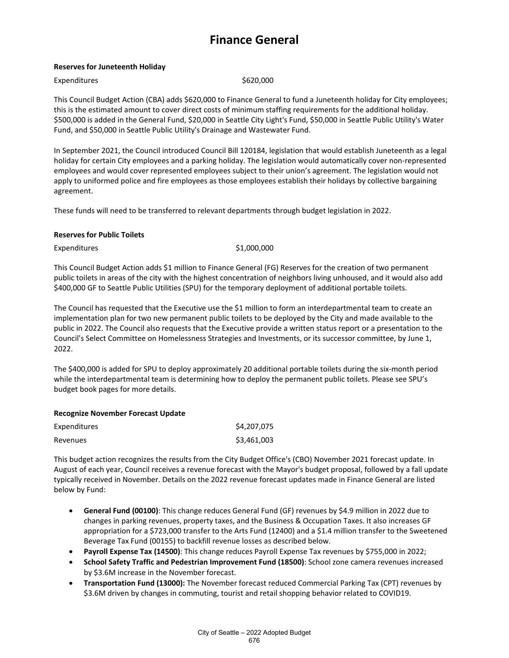#### **Reserves for Juneteenth Holiday**

#### Expenditures \$620,000

This Council Budget Action (CBA) adds \$620,000 to Finance General to fund a Juneteenth holiday for City employees; this is the estimated amount to cover direct costs of minimum staffing requirements for the additional holiday. \$500,000 is added in the General Fund, \$20,000 in Seattle City Light's Fund, \$50,000 in Seattle Public Utility's Water Fund, and \$50,000 in Seattle Public Utility's Drainage and Wastewater Fund.

In September 2021, the Council introduced Council Bill 120184, legislation that would establish Juneteenth as a legal holiday for certain City employees and a parking holiday. The legislation would automatically cover non-represented employees and would cover represented employees subject to their union's agreement. The legislation would not apply to uniformed police and fire employees as those employees establish their holidays by collective bargaining agreement.

These funds will need to be transferred to relevant departments through budget legislation in 2022.

#### **Reserves for Public Toilets**

Expenditures \$1,000,000

This Council Budget Action adds \$1 million to Finance General (FG) Reserves for the creation of two permanent public toilets in areas of the city with the highest concentration of neighbors living unhoused, and it would also add \$400,000 GF to Seattle Public Utilities (SPU) for the temporary deployment of additional portable toilets.

The Council has requested that the Executive use the \$1 million to form an interdepartmental team to create an implementation plan for two new permanent public toilets to be deployed by the City and made available to the public in 2022. The Council also requests that the Executive provide a written status report or a presentation to the Council's Select Committee on Homelessness Strategies and Investments, or its successor committee, by June 1, 2022.

The \$400,000 is added for SPU to deploy approximately 20 additional portable toilets during the six-month period while the interdepartmental team is determining how to deploy the permanent public toilets. Please see SPU's budget book pages for more details.

#### **Recognize November Forecast Update**

| Expenditures | \$4,207,075 |
|--------------|-------------|
| Revenues     | \$3,461,003 |

This budget action recognizes the results from the City Budget Office's (CBO) November 2021 forecast update. In August of each year, Council receives a revenue forecast with the Mayor's budget proposal, followed by a fall update typically received in November. Details on the 2022 revenue forecast updates made in Finance General are listed below by Fund:

- **General Fund (00100)**: This change reduces General Fund (GF) revenues by \$4.9 million in 2022 due to changes in parking revenues, property taxes, and the Business & Occupation Taxes. It also increases GF appropriation for a \$723,000 transfer to the Arts Fund (12400) and a \$1.4 million transfer to the Sweetened Beverage Tax Fund (00155) to backfill revenue losses as described below.
- **Payroll Expense Tax (14500)**: This change reduces Payroll Expense Tax revenues by \$755,000 in 2022;
- **School Safety Traffic and Pedestrian Improvement Fund (18500)**: School zone camera revenues increased by \$3.6M increase in the November forecast.
- **Transportation Fund (13000):** The November forecast reduced Commercial Parking Tax (CPT) revenues by \$3.6M driven by changes in commuting, tourist and retail shopping behavior related to COVID19.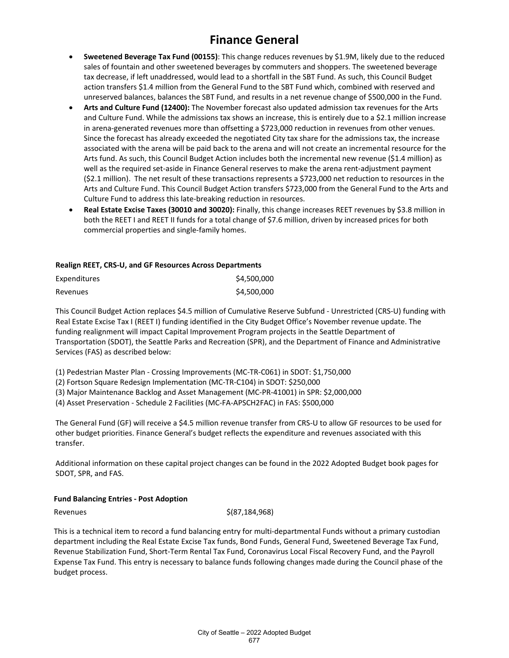- **Sweetened Beverage Tax Fund (00155)**: This change reduces revenues by \$1.9M, likely due to the reduced sales of fountain and other sweetened beverages by commuters and shoppers. The sweetened beverage tax decrease, if left unaddressed, would lead to a shortfall in the SBT Fund. As such, this Council Budget action transfers \$1.4 million from the General Fund to the SBT Fund which, combined with reserved and unreserved balances, balances the SBT Fund, and results in a net revenue change of \$500,000 in the Fund.
- **Arts and Culture Fund (12400):** The November forecast also updated admission tax revenues for the Arts and Culture Fund. While the admissions tax shows an increase, this is entirely due to a \$2.1 million increase in arena-generated revenues more than offsetting a \$723,000 reduction in revenues from other venues. Since the forecast has already exceeded the negotiated City tax share for the admissions tax, the increase associated with the arena will be paid back to the arena and will not create an incremental resource for the Arts fund. As such, this Council Budget Action includes both the incremental new revenue (\$1.4 million) as well as the required set-aside in Finance General reserves to make the arena rent-adjustment payment (\$2.1 million). The net result of these transactions represents a \$723,000 net reduction to resources in the Arts and Culture Fund. This Council Budget Action transfers \$723,000 from the General Fund to the Arts and Culture Fund to address this late-breaking reduction in resources.
- **Real Estate Excise Taxes (30010 and 30020):** Finally, this change increases REET revenues by \$3.8 million in both the REET I and REET II funds for a total change of \$7.6 million, driven by increased prices for both commercial properties and single-family homes.

#### **Realign REET, CRS-U, and GF Resources Across Departments**

| Expenditures | \$4,500,000 |
|--------------|-------------|
| Revenues     | \$4,500,000 |

This Council Budget Action replaces \$4.5 million of Cumulative Reserve Subfund - Unrestricted (CRS-U) funding with Real Estate Excise Tax I (REET I) funding identified in the City Budget Office's November revenue update. The funding realignment will impact Capital Improvement Program projects in the Seattle Department of Transportation (SDOT), the Seattle Parks and Recreation (SPR), and the Department of Finance and Administrative Services (FAS) as described below:

- (1) Pedestrian Master Plan Crossing Improvements (MC-TR-C061) in SDOT: \$1,750,000
- (2) Fortson Square Redesign Implementation (MC-TR-C104) in SDOT: \$250,000
- (3) Major Maintenance Backlog and Asset Management (MC-PR-41001) in SPR: \$2,000,000
- (4) Asset Preservation Schedule 2 Facilities (MC-FA-APSCH2FAC) in FAS: \$500,000

The General Fund (GF) will receive a \$4.5 million revenue transfer from CRS-U to allow GF resources to be used for other budget priorities. Finance General's budget reflects the expenditure and revenues associated with this transfer.

Additional information on these capital project changes can be found in the 2022 Adopted Budget book pages for SDOT, SPR, and FAS.

#### **Fund Balancing Entries - Post Adoption**

Revenues \$(87,184,968)

This is a technical item to record a fund balancing entry for multi-departmental Funds without a primary custodian department including the Real Estate Excise Tax funds, Bond Funds, General Fund, Sweetened Beverage Tax Fund, Revenue Stabilization Fund, Short-Term Rental Tax Fund, Coronavirus Local Fiscal Recovery Fund, and the Payroll Expense Tax Fund. This entry is necessary to balance funds following changes made during the Council phase of the budget process.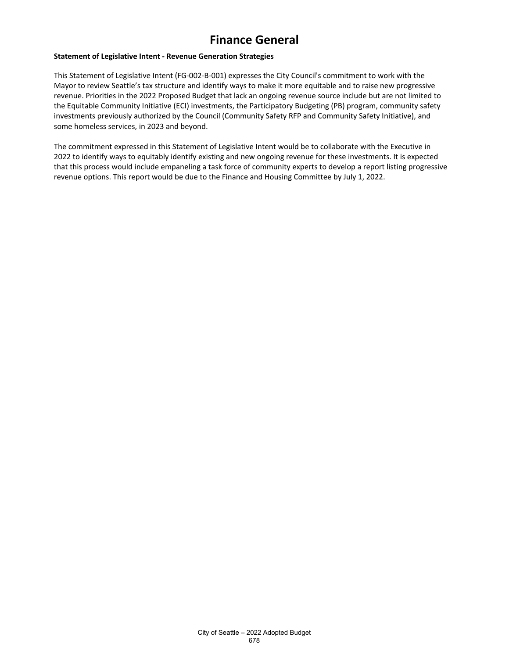#### **Statement of Legislative Intent - Revenue Generation Strategies**

This Statement of Legislative Intent (FG-002-B-001) expresses the City Council's commitment to work with the Mayor to review Seattle's tax structure and identify ways to make it more equitable and to raise new progressive revenue. Priorities in the 2022 Proposed Budget that lack an ongoing revenue source include but are not limited to the Equitable Community Initiative (ECI) investments, the Participatory Budgeting (PB) program, community safety investments previously authorized by the Council (Community Safety RFP and Community Safety Initiative), and some homeless services, in 2023 and beyond.

The commitment expressed in this Statement of Legislative Intent would be to collaborate with the Executive in 2022 to identify ways to equitably identify existing and new ongoing revenue for these investments. It is expected that this process would include empaneling a task force of community experts to develop a report listing progressive revenue options. This report would be due to the Finance and Housing Committee by July 1, 2022.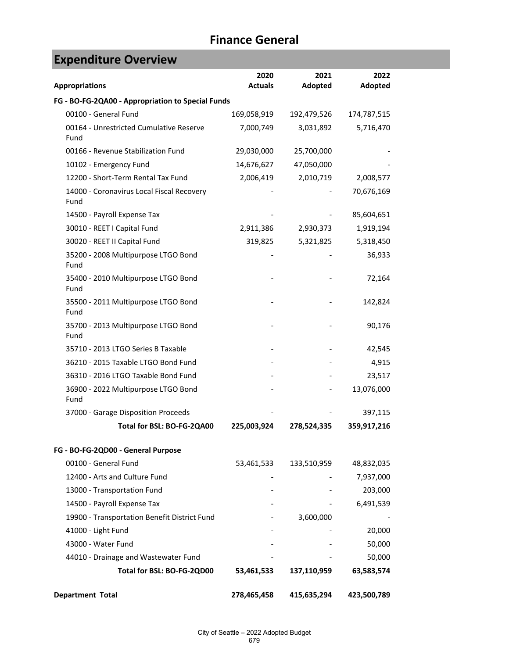# **Expenditure Overview**

| <b>Appropriations</b>                             | 2020<br><b>Actuals</b> | 2021<br>Adopted | 2022<br>Adopted |  |
|---------------------------------------------------|------------------------|-----------------|-----------------|--|
| FG - BO-FG-2QA00 - Appropriation to Special Funds |                        |                 |                 |  |
| 00100 - General Fund                              | 169,058,919            | 192,479,526     | 174,787,515     |  |
| 00164 - Unrestricted Cumulative Reserve<br>Fund   | 7,000,749              | 3,031,892       | 5,716,470       |  |
| 00166 - Revenue Stabilization Fund                | 29,030,000             | 25,700,000      |                 |  |
| 10102 - Emergency Fund                            | 14,676,627             | 47,050,000      |                 |  |
| 12200 - Short-Term Rental Tax Fund                | 2,006,419              | 2,010,719       | 2,008,577       |  |
| 14000 - Coronavirus Local Fiscal Recovery<br>Fund |                        |                 | 70,676,169      |  |
| 14500 - Payroll Expense Tax                       |                        |                 | 85,604,651      |  |
| 30010 - REET I Capital Fund                       | 2,911,386              | 2,930,373       | 1,919,194       |  |
| 30020 - REET II Capital Fund                      | 319,825                | 5,321,825       | 5,318,450       |  |
| 35200 - 2008 Multipurpose LTGO Bond<br>Fund       |                        |                 | 36,933          |  |
| 35400 - 2010 Multipurpose LTGO Bond<br>Fund       |                        |                 | 72,164          |  |
| 35500 - 2011 Multipurpose LTGO Bond<br>Fund       |                        |                 | 142,824         |  |
| 35700 - 2013 Multipurpose LTGO Bond<br>Fund       |                        |                 | 90,176          |  |
| 35710 - 2013 LTGO Series B Taxable                |                        |                 | 42,545          |  |
| 36210 - 2015 Taxable LTGO Bond Fund               |                        |                 | 4,915           |  |
| 36310 - 2016 LTGO Taxable Bond Fund               |                        |                 | 23,517          |  |
| 36900 - 2022 Multipurpose LTGO Bond<br>Fund       |                        |                 | 13,076,000      |  |
| 37000 - Garage Disposition Proceeds               |                        |                 | 397,115         |  |
| Total for BSL: BO-FG-2QA00                        | 225,003,924            | 278,524,335     | 359,917,216     |  |
| FG - BO-FG-2QD00 - General Purpose                |                        |                 |                 |  |
| 00100 - General Fund                              | 53,461,533             | 133,510,959     | 48,832,035      |  |
| 12400 - Arts and Culture Fund                     |                        |                 | 7,937,000       |  |
| 13000 - Transportation Fund                       |                        |                 | 203,000         |  |
| 14500 - Payroll Expense Tax                       |                        |                 | 6,491,539       |  |
| 19900 - Transportation Benefit District Fund      |                        | 3,600,000       |                 |  |
| 41000 - Light Fund                                |                        |                 | 20,000          |  |
| 43000 - Water Fund                                |                        |                 | 50,000          |  |
| 44010 - Drainage and Wastewater Fund              |                        |                 | 50,000          |  |
| Total for BSL: BO-FG-2QD00                        | 53,461,533             | 137,110,959     | 63,583,574      |  |
| <b>Department Total</b>                           | 278,465,458            | 415,635,294     | 423,500,789     |  |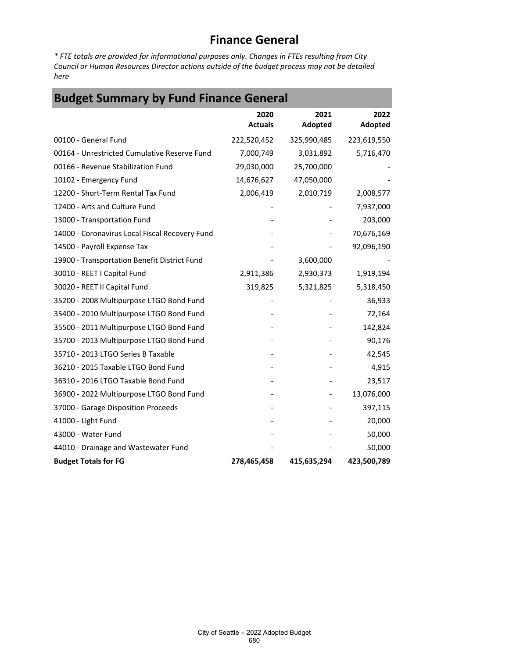*\* FTE totals are provided for informational purposes only. Changes in FTEs resulting from City Council or Human Resources Director actions outside of the budget process may not be detailed here*

# **Budget Summary by Fund Finance General**

|                                                | 2020<br><b>Actuals</b> | 2021<br>Adopted | 2022<br>Adopted |
|------------------------------------------------|------------------------|-----------------|-----------------|
| 00100 - General Fund                           | 222,520,452            | 325,990,485     | 223,619,550     |
| 00164 - Unrestricted Cumulative Reserve Fund   | 7,000,749              | 3,031,892       | 5,716,470       |
| 00166 - Revenue Stabilization Fund             | 29,030,000             | 25,700,000      |                 |
| 10102 - Emergency Fund                         | 14,676,627             | 47,050,000      |                 |
| 12200 - Short-Term Rental Tax Fund             | 2,006,419              | 2,010,719       | 2,008,577       |
| 12400 - Arts and Culture Fund                  |                        |                 | 7,937,000       |
| 13000 - Transportation Fund                    |                        |                 | 203,000         |
| 14000 - Coronavirus Local Fiscal Recovery Fund |                        |                 | 70,676,169      |
| 14500 - Payroll Expense Tax                    |                        |                 | 92,096,190      |
| 19900 - Transportation Benefit District Fund   |                        | 3,600,000       |                 |
| 30010 - REET I Capital Fund                    | 2,911,386              | 2,930,373       | 1,919,194       |
| 30020 - REET II Capital Fund                   | 319,825                | 5,321,825       | 5,318,450       |
| 35200 - 2008 Multipurpose LTGO Bond Fund       |                        |                 | 36,933          |
| 35400 - 2010 Multipurpose LTGO Bond Fund       |                        |                 | 72,164          |
| 35500 - 2011 Multipurpose LTGO Bond Fund       |                        |                 | 142,824         |
| 35700 - 2013 Multipurpose LTGO Bond Fund       |                        |                 | 90,176          |
| 35710 - 2013 LTGO Series B Taxable             |                        |                 | 42,545          |
| 36210 - 2015 Taxable LTGO Bond Fund            |                        |                 | 4,915           |
| 36310 - 2016 LTGO Taxable Bond Fund            |                        |                 | 23,517          |
| 36900 - 2022 Multipurpose LTGO Bond Fund       |                        |                 | 13,076,000      |
| 37000 - Garage Disposition Proceeds            |                        |                 | 397,115         |
| 41000 - Light Fund                             |                        |                 | 20,000          |
| 43000 - Water Fund                             |                        |                 | 50,000          |
| 44010 - Drainage and Wastewater Fund           |                        |                 | 50,000          |
| <b>Budget Totals for FG</b>                    | 278,465,458            | 415,635,294     | 423,500,789     |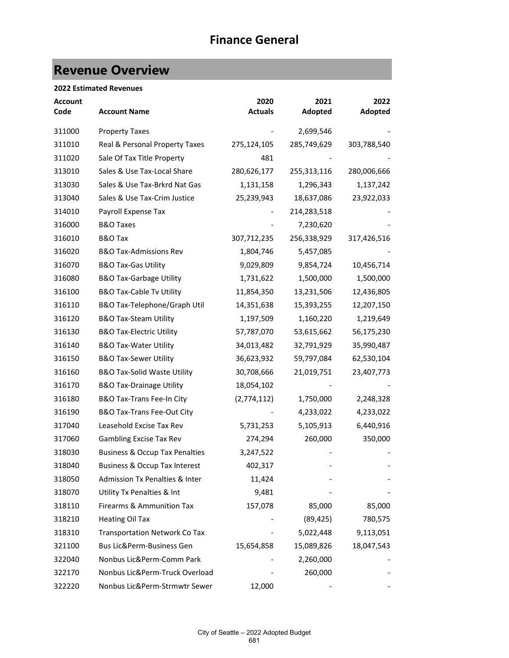# **Revenue Overview**

#### **2022 Estimated Revenues**

| <b>Account</b><br>Code | <b>Account Name</b>                       | 2020<br><b>Actuals</b> | 2021<br>Adopted | 2022<br>Adopted |
|------------------------|-------------------------------------------|------------------------|-----------------|-----------------|
| 311000                 | <b>Property Taxes</b>                     |                        | 2,699,546       |                 |
| 311010                 | Real & Personal Property Taxes            | 275,124,105            | 285,749,629     | 303,788,540     |
| 311020                 | Sale Of Tax Title Property                | 481                    |                 |                 |
| 313010                 | Sales & Use Tax-Local Share               | 280,626,177            | 255,313,116     | 280,006,666     |
| 313030                 | Sales & Use Tax-Brkrd Nat Gas             | 1,131,158              | 1,296,343       | 1,137,242       |
| 313040                 | Sales & Use Tax-Crim Justice              | 25,239,943             | 18,637,086      | 23,922,033      |
| 314010                 | Payroll Expense Tax                       |                        | 214,283,518     |                 |
| 316000                 | <b>B&amp;O Taxes</b>                      |                        | 7,230,620       |                 |
| 316010                 | B&O Tax                                   | 307,712,235            | 256,338,929     | 317,426,516     |
| 316020                 | <b>B&amp;O Tax-Admissions Rev</b>         | 1,804,746              | 5,457,085       |                 |
| 316070                 | <b>B&amp;O Tax-Gas Utility</b>            | 9,029,809              | 9,854,724       | 10,456,714      |
| 316080                 | <b>B&amp;O Tax-Garbage Utility</b>        | 1,731,622              | 1,500,000       | 1,500,000       |
| 316100                 | <b>B&amp;O Tax-Cable Tv Utility</b>       | 11,854,350             | 13,231,506      | 12,436,805      |
| 316110                 | <b>B&amp;O Tax-Telephone/Graph Util</b>   | 14,351,638             | 15,393,255      | 12,207,150      |
| 316120                 | <b>B&amp;O Tax-Steam Utility</b>          | 1,197,509              | 1,160,220       | 1,219,649       |
| 316130                 | <b>B&amp;O Tax-Electric Utility</b>       | 57,787,070             | 53,615,662      | 56,175,230      |
| 316140                 | <b>B&amp;O Tax-Water Utility</b>          | 34,013,482             | 32,791,929      | 35,990,487      |
| 316150                 | <b>B&amp;O Tax-Sewer Utility</b>          | 36,623,932             | 59,797,084      | 62,530,104      |
| 316160                 | <b>B&amp;O Tax-Solid Waste Utility</b>    | 30,708,666             | 21,019,751      | 23,407,773      |
| 316170                 | <b>B&amp;O Tax-Drainage Utility</b>       | 18,054,102             |                 |                 |
| 316180                 | B&O Tax-Trans Fee-In City                 | (2,774,112)            | 1,750,000       | 2,248,328       |
| 316190                 | <b>B&amp;O Tax-Trans Fee-Out City</b>     |                        | 4,233,022       | 4,233,022       |
| 317040                 | Leasehold Excise Tax Rev                  | 5,731,253              | 5,105,913       | 6,440,916       |
| 317060                 | <b>Gambling Excise Tax Rev</b>            | 274,294                | 260,000         | 350,000         |
| 318030                 | <b>Business &amp; Occup Tax Penalties</b> | 3,247,522              |                 |                 |
| 318040                 | Business & Occup Tax Interest             | 402,317                |                 |                 |
| 318050                 | Admission Tx Penalties & Inter            | 11,424                 |                 |                 |
| 318070                 | Utility Tx Penalties & Int                | 9,481                  |                 |                 |
| 318110                 | <b>Firearms &amp; Ammunition Tax</b>      | 157,078                | 85,000          | 85,000          |
| 318210                 | <b>Heating Oil Tax</b>                    |                        | (89, 425)       | 780,575         |
| 318310                 | <b>Transportation Network Co Tax</b>      |                        | 5,022,448       | 9,113,051       |
| 321100                 | Bus Lic&Perm-Business Gen                 | 15,654,858             | 15,089,826      | 18,047,543      |
| 322040                 | Nonbus Lic&Perm-Comm Park                 |                        | 2,260,000       |                 |
| 322170                 | Nonbus Lic&Perm-Truck Overload            |                        | 260,000         |                 |
| 322220                 | Nonbus Lic&Perm-Strmwtr Sewer             | 12,000                 |                 |                 |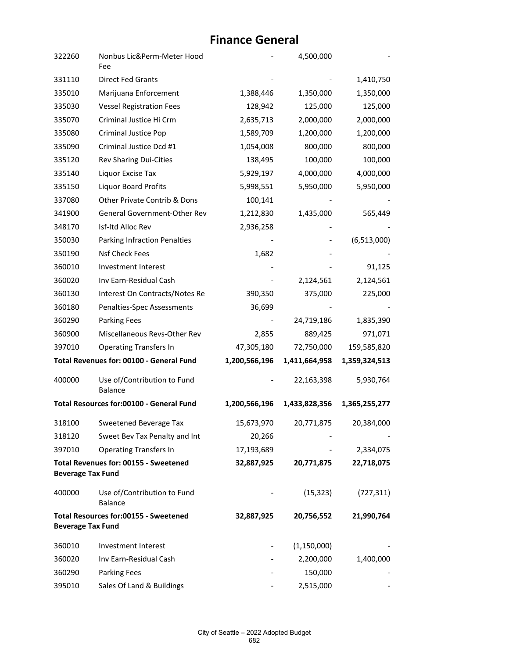| 322260                   | Nonbus Lic&Perm-Meter Hood<br>Fee             |               | 4,500,000     |               |
|--------------------------|-----------------------------------------------|---------------|---------------|---------------|
| 331110                   | <b>Direct Fed Grants</b>                      |               |               | 1,410,750     |
| 335010                   | Marijuana Enforcement                         | 1,388,446     | 1,350,000     | 1,350,000     |
| 335030                   | <b>Vessel Registration Fees</b>               | 128,942       | 125,000       | 125,000       |
| 335070                   | Criminal Justice Hi Crm                       | 2,635,713     | 2,000,000     | 2,000,000     |
| 335080                   | Criminal Justice Pop                          | 1,589,709     | 1,200,000     | 1,200,000     |
| 335090                   | Criminal Justice Dcd #1                       | 1,054,008     | 800,000       | 800,000       |
| 335120                   | Rev Sharing Dui-Cities                        | 138,495       | 100,000       | 100,000       |
| 335140                   | Liquor Excise Tax                             | 5,929,197     | 4,000,000     | 4,000,000     |
| 335150                   | Liquor Board Profits                          | 5,998,551     | 5,950,000     | 5,950,000     |
| 337080                   | Other Private Contrib & Dons                  | 100,141       |               |               |
| 341900                   | General Government-Other Rev                  | 1,212,830     | 1,435,000     | 565,449       |
| 348170                   | Isf-Itd Alloc Rev                             | 2,936,258     |               |               |
| 350030                   | <b>Parking Infraction Penalties</b>           |               |               | (6,513,000)   |
| 350190                   | Nsf Check Fees                                | 1,682         |               |               |
| 360010                   | <b>Investment Interest</b>                    |               |               | 91,125        |
| 360020                   | Inv Earn-Residual Cash                        |               | 2,124,561     | 2,124,561     |
| 360130                   | Interest On Contracts/Notes Re                | 390,350       | 375,000       | 225,000       |
| 360180                   | Penalties-Spec Assessments                    | 36,699        |               |               |
| 360290                   | <b>Parking Fees</b>                           |               | 24,719,186    | 1,835,390     |
| 360900                   | Miscellaneous Revs-Other Rev                  | 2,855         | 889,425       | 971,071       |
| 397010                   | <b>Operating Transfers In</b>                 | 47,305,180    | 72,750,000    | 159,585,820   |
|                          | Total Revenues for: 00100 - General Fund      | 1,200,566,196 | 1,411,664,958 | 1,359,324,513 |
| 400000                   | Use of/Contribution to Fund<br><b>Balance</b> |               | 22,163,398    | 5,930,764     |
|                          | Total Resources for:00100 - General Fund      | 1,200,566,196 | 1,433,828,356 | 1,365,255,277 |
| 318100                   | Sweetened Beverage Tax                        | 15,673,970    | 20,771,875    | 20,384,000    |
| 318120                   | Sweet Bev Tax Penalty and Int                 | 20,266        |               |               |
| 397010                   | <b>Operating Transfers In</b>                 | 17,193,689    |               | 2,334,075     |
| <b>Beverage Tax Fund</b> | Total Revenues for: 00155 - Sweetened         | 32,887,925    | 20,771,875    | 22,718,075    |
| 400000                   | Use of/Contribution to Fund<br><b>Balance</b> |               | (15, 323)     | (727, 311)    |
| <b>Beverage Tax Fund</b> | Total Resources for:00155 - Sweetened         | 32,887,925    | 20,756,552    | 21,990,764    |
| 360010                   | Investment Interest                           |               | (1, 150, 000) |               |
| 360020                   | Inv Earn-Residual Cash                        |               | 2,200,000     | 1,400,000     |
| 360290                   | <b>Parking Fees</b>                           |               | 150,000       |               |
| 395010                   | Sales Of Land & Buildings                     |               | 2,515,000     |               |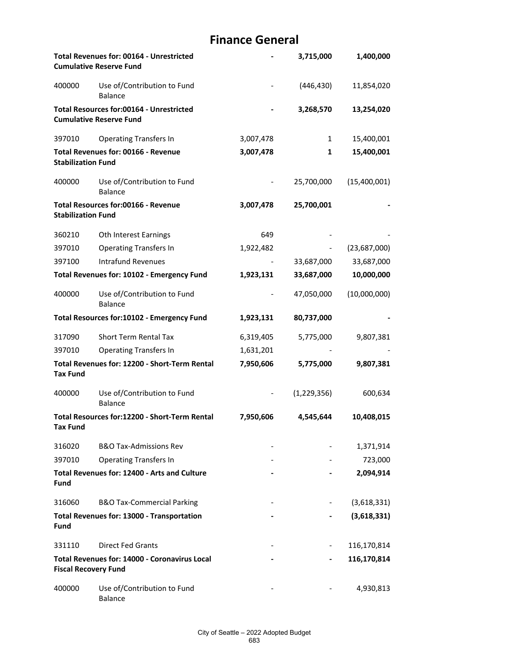|                             | Total Revenues for: 00164 - Unrestricted<br><b>Cumulative Reserve Fund</b>        |           | 3,715,000    | 1,400,000    |
|-----------------------------|-----------------------------------------------------------------------------------|-----------|--------------|--------------|
| 400000                      | Use of/Contribution to Fund<br><b>Balance</b>                                     |           | (446, 430)   | 11,854,020   |
|                             | <b>Total Resources for:00164 - Unrestricted</b><br><b>Cumulative Reserve Fund</b> |           | 3,268,570    | 13,254,020   |
| 397010                      | <b>Operating Transfers In</b>                                                     | 3,007,478 | $\mathbf{1}$ | 15,400,001   |
| <b>Stabilization Fund</b>   | Total Revenues for: 00166 - Revenue                                               | 3,007,478 | 1            | 15,400,001   |
| 400000                      | Use of/Contribution to Fund<br><b>Balance</b>                                     |           | 25,700,000   | (15,400,001) |
| <b>Stabilization Fund</b>   | Total Resources for:00166 - Revenue                                               | 3,007,478 | 25,700,001   |              |
| 360210                      | Oth Interest Earnings                                                             | 649       |              |              |
| 397010                      | <b>Operating Transfers In</b>                                                     | 1,922,482 |              | (23,687,000) |
| 397100                      | <b>Intrafund Revenues</b>                                                         |           | 33,687,000   | 33,687,000   |
|                             | Total Revenues for: 10102 - Emergency Fund                                        | 1,923,131 | 33,687,000   | 10,000,000   |
| 400000                      | Use of/Contribution to Fund<br><b>Balance</b>                                     |           | 47,050,000   | (10,000,000) |
|                             | Total Resources for:10102 - Emergency Fund                                        | 1,923,131 | 80,737,000   |              |
| 317090                      | Short Term Rental Tax                                                             | 6,319,405 | 5,775,000    | 9,807,381    |
| 397010                      | <b>Operating Transfers In</b>                                                     | 1,631,201 |              |              |
| <b>Tax Fund</b>             | Total Revenues for: 12200 - Short-Term Rental                                     | 7,950,606 | 5,775,000    | 9,807,381    |
| 400000                      | Use of/Contribution to Fund<br><b>Balance</b>                                     |           | (1,229,356)  | 600,634      |
| <b>Tax Fund</b>             | Total Resources for:12200 - Short-Term Rental                                     | 7,950,606 | 4,545,644    | 10,408,015   |
| 316020                      | <b>B&amp;O Tax-Admissions Rev</b>                                                 |           |              | 1,371,914    |
| 397010                      | <b>Operating Transfers In</b>                                                     |           |              | 723,000      |
| Fund                        | Total Revenues for: 12400 - Arts and Culture                                      |           |              | 2,094,914    |
| 316060                      | <b>B&amp;O Tax-Commercial Parking</b>                                             |           |              | (3,618,331)  |
| Fund                        | Total Revenues for: 13000 - Transportation                                        |           |              | (3,618,331)  |
| 331110                      | <b>Direct Fed Grants</b>                                                          |           |              | 116,170,814  |
| <b>Fiscal Recovery Fund</b> | <b>Total Revenues for: 14000 - Coronavirus Local</b>                              |           |              | 116,170,814  |
| 400000                      | Use of/Contribution to Fund<br><b>Balance</b>                                     |           |              | 4,930,813    |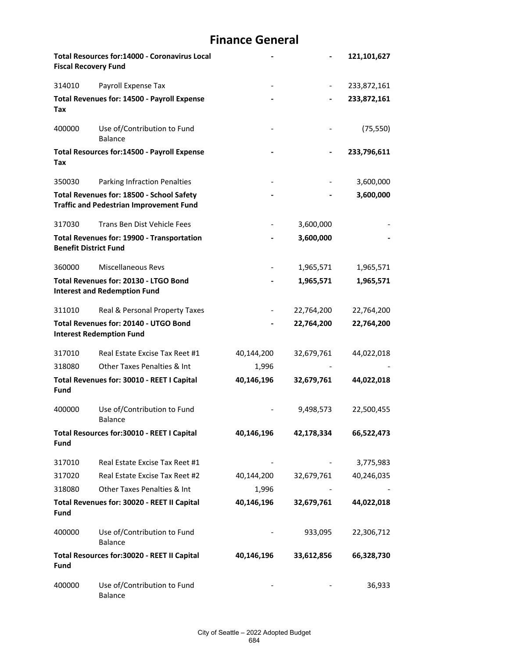| <b>Fiscal Recovery Fund</b>  | Total Resources for:14000 - Coronavirus Local                                               |            |                          | 121,101,627 |
|------------------------------|---------------------------------------------------------------------------------------------|------------|--------------------------|-------------|
| 314010                       | Payroll Expense Tax                                                                         | -          | $\overline{\phantom{a}}$ | 233,872,161 |
| Tax                          | Total Revenues for: 14500 - Payroll Expense                                                 |            |                          | 233,872,161 |
| 400000                       | Use of/Contribution to Fund<br>Balance                                                      |            |                          | (75, 550)   |
| Tax                          | <b>Total Resources for:14500 - Payroll Expense</b>                                          |            |                          | 233,796,611 |
| 350030                       | Parking Infraction Penalties                                                                |            |                          | 3,600,000   |
|                              | Total Revenues for: 18500 - School Safety<br><b>Traffic and Pedestrian Improvement Fund</b> |            |                          | 3,600,000   |
| 317030                       | Trans Ben Dist Vehicle Fees                                                                 |            | 3,600,000                |             |
| <b>Benefit District Fund</b> | Total Revenues for: 19900 - Transportation                                                  |            | 3,600,000                |             |
| 360000                       | <b>Miscellaneous Revs</b>                                                                   |            | 1,965,571                | 1,965,571   |
|                              | Total Revenues for: 20130 - LTGO Bond<br><b>Interest and Redemption Fund</b>                |            | 1,965,571                | 1,965,571   |
| 311010                       | Real & Personal Property Taxes                                                              |            | 22,764,200               | 22,764,200  |
|                              | Total Revenues for: 20140 - UTGO Bond<br><b>Interest Redemption Fund</b>                    |            | 22,764,200               | 22,764,200  |
| 317010                       | Real Estate Excise Tax Reet #1                                                              | 40,144,200 | 32,679,761               | 44,022,018  |
| 318080                       | <b>Other Taxes Penalties &amp; Int</b>                                                      | 1,996      |                          |             |
| Fund                         | Total Revenues for: 30010 - REET I Capital                                                  | 40,146,196 | 32,679,761               | 44,022,018  |
| 400000                       | Use of/Contribution to Fund<br><b>Balance</b>                                               |            | 9,498,573                | 22,500,455  |
| Fund                         | Total Resources for:30010 - REET I Capital                                                  | 40,146,196 | 42,178,334               | 66,522,473  |
| 317010                       | Real Estate Excise Tax Reet #1                                                              |            |                          | 3,775,983   |
| 317020                       | Real Estate Excise Tax Reet #2                                                              | 40,144,200 | 32,679,761               | 40,246,035  |
| 318080                       | Other Taxes Penalties & Int                                                                 | 1,996      |                          |             |
| Fund                         | Total Revenues for: 30020 - REET II Capital                                                 | 40,146,196 | 32,679,761               | 44,022,018  |
| 400000                       | Use of/Contribution to Fund<br><b>Balance</b>                                               |            | 933,095                  | 22,306,712  |
| Fund                         | Total Resources for:30020 - REET II Capital                                                 | 40,146,196 | 33,612,856               | 66,328,730  |
| 400000                       | Use of/Contribution to Fund<br><b>Balance</b>                                               |            |                          | 36,933      |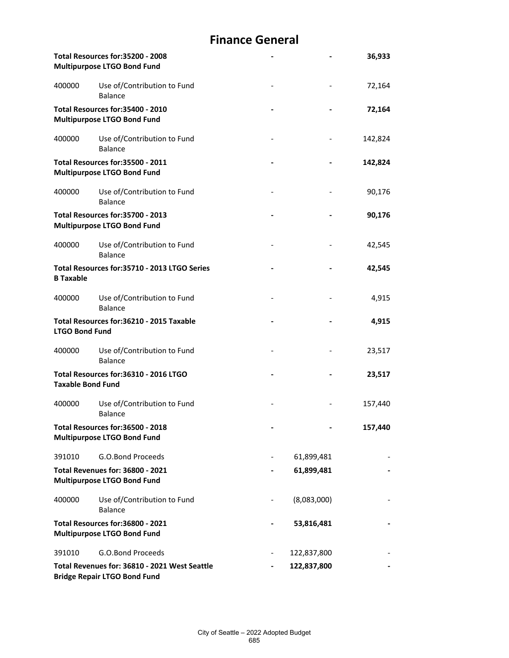|                          | Total Resources for:35200 - 2008<br><b>Multipurpose LTGO Bond Fund</b>               |             | 36,933  |
|--------------------------|--------------------------------------------------------------------------------------|-------------|---------|
| 400000                   | Use of/Contribution to Fund<br><b>Balance</b>                                        |             | 72,164  |
|                          | Total Resources for:35400 - 2010<br><b>Multipurpose LTGO Bond Fund</b>               |             | 72,164  |
| 400000                   | Use of/Contribution to Fund<br><b>Balance</b>                                        |             | 142,824 |
|                          | Total Resources for:35500 - 2011<br><b>Multipurpose LTGO Bond Fund</b>               |             | 142,824 |
| 400000                   | Use of/Contribution to Fund<br>Balance                                               |             | 90,176  |
|                          | Total Resources for:35700 - 2013<br><b>Multipurpose LTGO Bond Fund</b>               |             | 90,176  |
| 400000                   | Use of/Contribution to Fund<br><b>Balance</b>                                        |             | 42,545  |
| <b>B</b> Taxable         | Total Resources for:35710 - 2013 LTGO Series                                         |             | 42,545  |
| 400000                   | Use of/Contribution to Fund<br>Balance                                               |             | 4,915   |
| <b>LTGO Bond Fund</b>    | Total Resources for:36210 - 2015 Taxable                                             |             | 4,915   |
| 400000                   | Use of/Contribution to Fund<br><b>Balance</b>                                        |             | 23,517  |
| <b>Taxable Bond Fund</b> | Total Resources for:36310 - 2016 LTGO                                                |             | 23,517  |
| 400000                   | Use of/Contribution to Fund<br><b>Balance</b>                                        |             | 157,440 |
|                          | Total Resources for:36500 - 2018<br><b>Multipurpose LTGO Bond Fund</b>               |             | 157,440 |
| 391010                   | G.O.Bond Proceeds                                                                    | 61,899,481  |         |
|                          | <b>Total Revenues for: 36800 - 2021</b><br><b>Multipurpose LTGO Bond Fund</b>        | 61,899,481  |         |
| 400000                   | Use of/Contribution to Fund<br><b>Balance</b>                                        | (8,083,000) |         |
|                          | Total Resources for:36800 - 2021<br><b>Multipurpose LTGO Bond Fund</b>               | 53,816,481  |         |
| 391010                   | G.O.Bond Proceeds                                                                    | 122,837,800 |         |
|                          | Total Revenues for: 36810 - 2021 West Seattle<br><b>Bridge Repair LTGO Bond Fund</b> | 122,837,800 |         |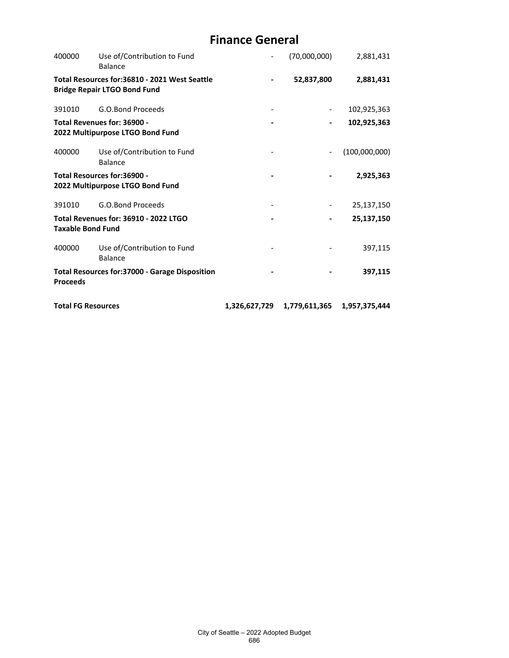| 400000                    | Use of/Contribution to Fund<br><b>Balance</b>                                        |               | (70,000,000)  | 2,881,431     |
|---------------------------|--------------------------------------------------------------------------------------|---------------|---------------|---------------|
|                           | Total Resources for:36810 - 2021 West Seattle<br><b>Bridge Repair LTGO Bond Fund</b> |               | 52,837,800    | 2,881,431     |
| 391010                    | G.O.Bond Proceeds                                                                    |               |               | 102,925,363   |
|                           | Total Revenues for: 36900 -<br>2022 Multipurpose LTGO Bond Fund                      |               |               | 102,925,363   |
| 400000                    | Use of/Contribution to Fund<br><b>Balance</b>                                        |               |               | (100,000,000) |
|                           | Total Resources for:36900 -<br>2022 Multipurpose LTGO Bond Fund                      |               |               | 2,925,363     |
| 391010                    | G.O.Bond Proceeds                                                                    |               |               | 25,137,150    |
| <b>Taxable Bond Fund</b>  | Total Revenues for: 36910 - 2022 LTGO                                                |               |               | 25,137,150    |
| 400000                    | Use of/Contribution to Fund<br><b>Balance</b>                                        |               |               | 397,115       |
| <b>Proceeds</b>           | <b>Total Resources for:37000 - Garage Disposition</b>                                |               |               | 397,115       |
| <b>Total FG Resources</b> |                                                                                      | 1,326,627,729 | 1,779,611,365 | 1,957,375,444 |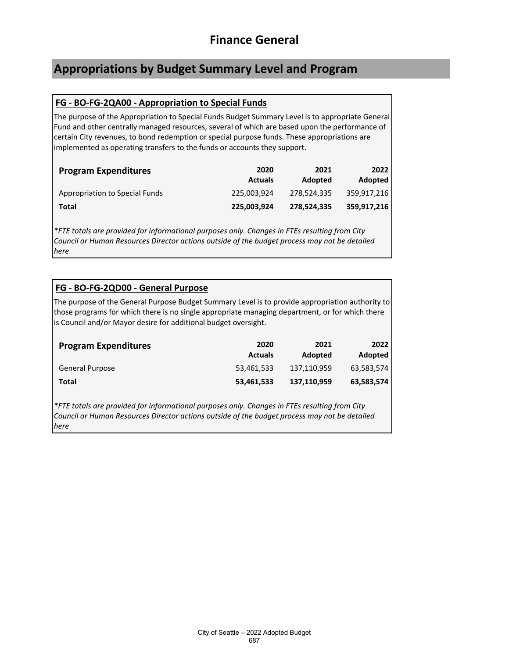### **Appropriations by Budget Summary Level and Program**

### **FG - BO-FG-2QA00 - Appropriation to Special Funds**

The purpose of the Appropriation to Special Funds Budget Summary Level is to appropriate General Fund and other centrally managed resources, several of which are based upon the performance of certain City revenues, to bond redemption or special purpose funds. These appropriations are implemented as operating transfers to the funds or accounts they support.

| <b>Program Expenditures</b>    | 2020<br><b>Actuals</b> | 2021<br>Adopted | 2022<br>Adopted |
|--------------------------------|------------------------|-----------------|-----------------|
| Appropriation to Special Funds | 225,003,924            | 278,524,335     | 359.917.216     |
| Total                          | 225,003,924            | 278.524.335     | 359,917,216     |

*\*FTE totals are provided for informational purposes only. Changes in FTEs resulting from City Council or Human Resources Director actions outside of the budget process may not be detailed here*

#### **FG - BO-FG-2QD00 - General Purpose**

The purpose of the General Purpose Budget Summary Level is to provide appropriation authority to those programs for which there is no single appropriate managing department, or for which there is Council and/or Mayor desire for additional budget oversight.

| <b>Program Expenditures</b> | 2020<br><b>Actuals</b> | 2021<br>Adopted | 2022<br>Adopted |
|-----------------------------|------------------------|-----------------|-----------------|
| General Purpose             | 53.461.533             | 137.110.959     | 63,583,574      |
| Total                       | 53.461.533             | 137,110,959     | 63,583,574      |

*\*FTE totals are provided for informational purposes only. Changes in FTEs resulting from City Council or Human Resources Director actions outside of the budget process may not be detailed here*